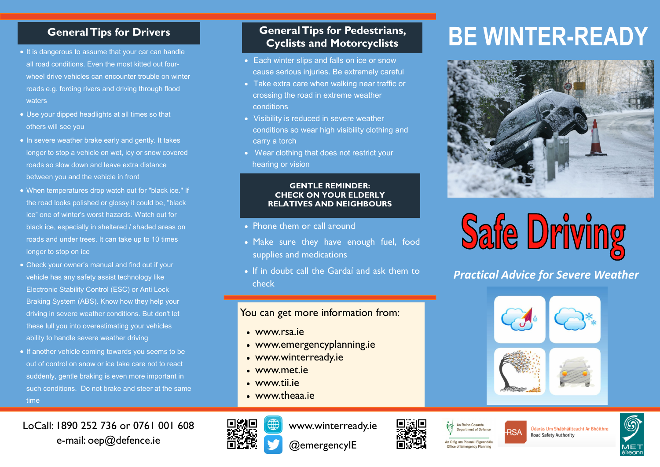## **General Tips for Drivers**

- It is dangerous to assume that your car can handle all road conditions. Even the most kitted out fourwheel drive vehicles can encounter trouble on winter roads e.g. fording rivers and driving through flood waters
- Use your dipped headlights at all times so that others will see you
- In severe weather brake early and gently. It takes longer to stop a vehicle on wet, icy or snow covered roads so slow down and leave extra distance between you and the vehicle in front
- When temperatures drop watch out for "black ice." If the road looks polished or glossy it could be, "black ice" one of winter's worst hazards. Watch out for black ice, especially in sheltered / shaded areas on roads and under trees. It can take up to 10 times longer to stop on ice
- Check your owner's manual and find out if your vehicle has any safety assist technology like Electronic Stability Control (ESC) or Anti Lock Braking System (ABS). Know how they help your driving in severe weather conditions. But don't let these lull you into overestimating your vehicles ability to handle severe weather driving
- If another vehicle coming towards you seems to be out of control on snow or ice take care not to react suddenly, gentle braking is even more important in such conditions. Do not brake and steer at the same time

## LoCall: 1890 252 736 or 0761 001 608 e-mail: oep@defence.ie

## **General Tips for Pedestrians, Cyclists and Motorcyclists**

- Each winter slips and falls on ice or snow cause serious injuries. Be extremely careful
- Take extra care when walking near traffic or crossing the road in extreme weather conditions
- Visibility is reduced in severe weather conditions so wear high visibility clothing and carry a torch
- Wear clothing that does not restrict your hearing or vision

### **GENTLE REMINDER: CHECK ON YOUR ELDERLY RELATIVES AND NEIGHBOURS**

- Phone them or call around
- Make sure they have enough fuel, food supplies and medications
- If in doubt call the Gardaí and ask them to check

## You can get more information from:

- [www.rsa.ie](http://www.agriculture.gov.ie)
- [www.emergencyplanning.ie](http://www.winterready.ie)
- www.winterready.ie
- [www.met.ie](http://www.met.ie)
- www.tii.ie
- www.theaa.ie



www.winterready.ie

@emergencyIE

# An Oifig um Pleanáil Eigeandála

**Office of Emergency Planning** 

An Roinn Cosanta

**Denartment of Defence** 

Údarás Um Shábháilteacht Ar Bhóithre Road Safety Authority



# **BE WINTER-READY**





*Practical Advice for Severe Weather*